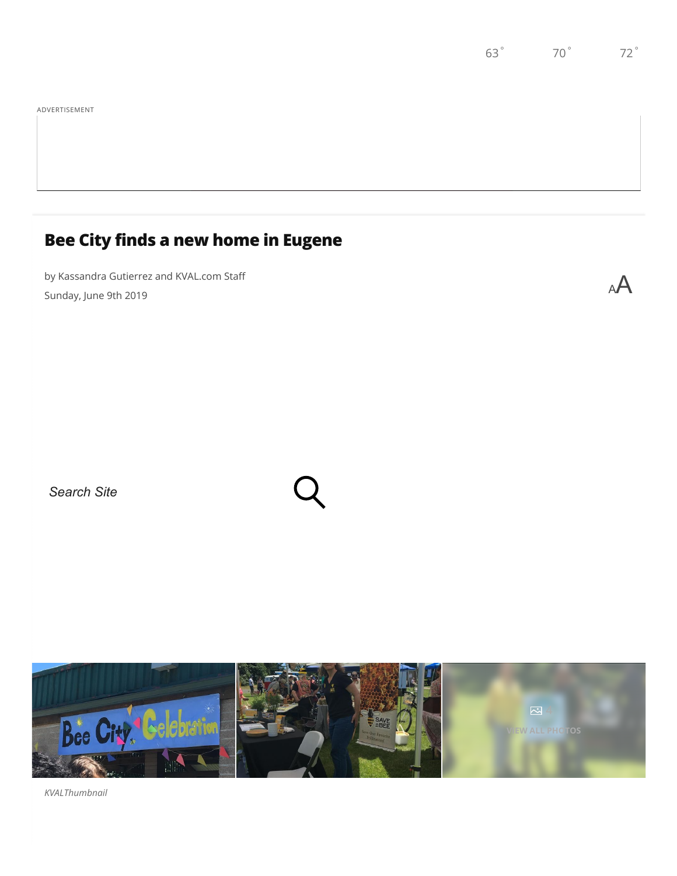## **Bee City finds a new home in Eugene**

by Kassandra Gutierrez and KVAL.com Staff $\mathsf A$ 

*Search Site*



*KVALThumbnail*